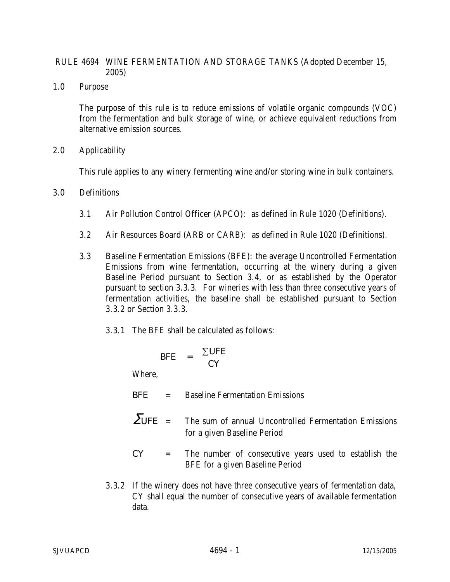### RULE 4694 WINE FERMENTATION AND STORAGE TANKS (Adopted December 15, 2005)

1.0 Purpose

The purpose of this rule is to reduce emissions of volatile organic compounds (VOC) from the fermentation and bulk storage of wine, or achieve equivalent reductions from alternative emission sources.

2.0 Applicability

This rule applies to any winery fermenting wine and/or storing wine in bulk containers.

- 3.0 Definitions
	- 3.1 Air Pollution Control Officer (APCO): as defined in Rule 1020 (Definitions).
	- 3.2 Air Resources Board (ARB or CARB): as defined in Rule 1020 (Definitions).
	- 3.3 Baseline Fermentation Emissions (BFE): the average Uncontrolled Fermentation Emissions from wine fermentation, occurring at the winery during a given Baseline Period pursuant to Section 3.4, or as established by the Operator pursuant to section 3.3.3. For wineries with less than three consecutive years of fermentation activities, the baseline shall be established pursuant to Section 3.3.2 or Section 3.3.3.
		- 3.3.1 The BFE shall be calculated as follows:

$$
BFE = \frac{\sum UFE}{CY}
$$

Where,

*BFE* = Baseline Fermentation Emissions

 $\sum UFE$  = The sum of annual Uncontrolled Fermentation Emissions for a given Baseline Period

- *CY* = The number of consecutive years used to establish the BFE for a given Baseline Period
- 3.3.2 If the winery does not have three consecutive years of fermentation data, CY shall equal the number of consecutive years of available fermentation data.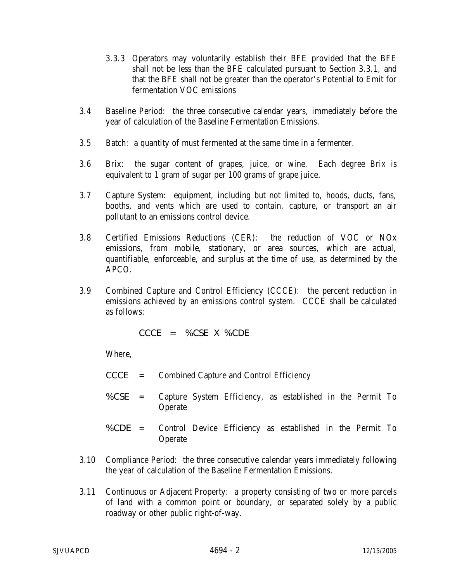- 3.3.3 Operators may voluntarily establish their BFE provided that the BFE shall not be less than the BFE calculated pursuant to Section 3.3.1, and that the BFE shall not be greater than the operator's Potential to Emit for fermentation VOC emissions
- 3.4 Baseline Period: the three consecutive calendar years, immediately before the year of calculation of the Baseline Fermentation Emissions.
- 3.5 Batch: a quantity of must fermented at the same time in a fermenter.
- 3.6 Brix: the sugar content of grapes, juice, or wine. Each degree Brix is equivalent to 1 gram of sugar per 100 grams of grape juice.
- 3.7 Capture System: equipment, including but not limited to, hoods, ducts, fans, booths, and vents which are used to contain, capture, or transport an air pollutant to an emissions control device.
- 3.8 Certified Emissions Reductions (CER): the reduction of VOC or NOx emissions, from mobile, stationary, or area sources, which are actual, quantifiable, enforceable, and surplus at the time of use, as determined by the APCO.
- 3.9 Combined Capture and Control Efficiency (CCCE): the percent reduction in emissions achieved by an emissions control system. CCCE shall be calculated as follows:

$$
C C C E = \% C S E X \% C D E
$$

- *CCCE* = Combined Capture and Control Efficiency
- *%CSE* = Capture System Efficiency, as established in the Permit To **Operate**
- *%CDE* = Control Device Efficiency as established in the Permit To Operate
- 3.10 Compliance Period: the three consecutive calendar years immediately following the year of calculation of the Baseline Fermentation Emissions.
- 3.11 Continuous or Adjacent Property: a property consisting of two or more parcels of land with a common point or boundary, or separated solely by a public roadway or other public right-of-way.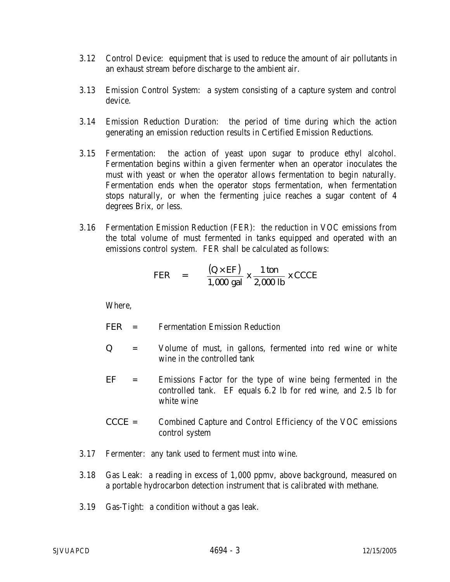- 3.12 Control Device: equipment that is used to reduce the amount of air pollutants in an exhaust stream before discharge to the ambient air.
- 3.13 Emission Control System: a system consisting of a capture system and control device.
- 3.14 Emission Reduction Duration: the period of time during which the action generating an emission reduction results in Certified Emission Reductions.
- 3.15 Fermentation: the action of yeast upon sugar to produce ethyl alcohol. Fermentation begins within a given fermenter when an operator inoculates the must with yeast or when the operator allows fermentation to begin naturally. Fermentation ends when the operator stops fermentation, when fermentation stops naturally, or when the fermenting juice reaches a sugar content of 4 degrees Brix, or less.
- 3.16 Fermentation Emission Reduction (FER): the reduction in VOC emissions from the total volume of must fermented in tanks equipped and operated with an emissions control system. FER shall be calculated as follows:

$$
FER = \frac{(Q \times EF)}{1,000 \text{ gal}} \times \frac{1 \text{ ton}}{2,000 \text{ lb}} \times C CCE
$$

- *FER* = Fermentation Emission Reduction
- *Q* = Volume of must, in gallons, fermented into red wine or white wine in the controlled tank
- *EF* = Emissions Factor for the type of wine being fermented in the controlled tank. EF equals 6.2 lb for red wine, and 2.5 lb for white wine
- *CCCE* = Combined Capture and Control Efficiency of the VOC emissions control system
- 3.17 Fermenter: any tank used to ferment must into wine.
- 3.18 Gas Leak: a reading in excess of 1,000 ppmv, above background, measured on a portable hydrocarbon detection instrument that is calibrated with methane.
- 3.19 Gas-Tight: a condition without a gas leak.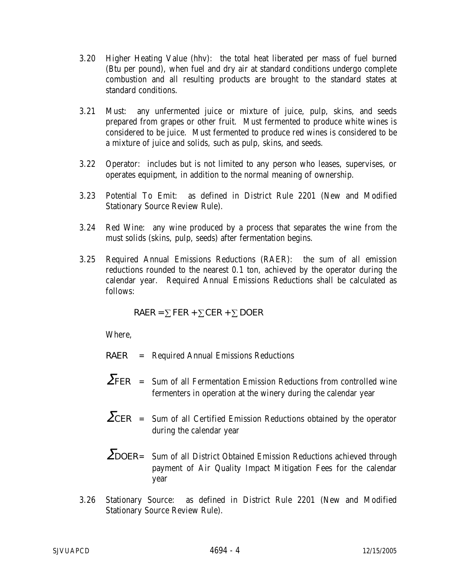- 3.20 Higher Heating Value (hhv): the total heat liberated per mass of fuel burned (Btu per pound), when fuel and dry air at standard conditions undergo complete combustion and all resulting products are brought to the standard states at standard conditions.
- 3.21 Must: any unfermented juice or mixture of juice, pulp, skins, and seeds prepared from grapes or other fruit. Must fermented to produce white wines is considered to be juice. Must fermented to produce red wines is considered to be a mixture of juice and solids, such as pulp, skins, and seeds.
- 3.22 Operator: includes but is not limited to any person who leases, supervises, or operates equipment, in addition to the normal meaning of ownership.
- 3.23 Potential To Emit: as defined in District Rule 2201 (New and Modified Stationary Source Review Rule).
- 3.24 Red Wine: any wine produced by a process that separates the wine from the must solids (skins, pulp, seeds) after fermentation begins.
- 3.25 Required Annual Emissions Reductions (RAER): the sum of all emission reductions rounded to the nearest 0.1 ton, achieved by the operator during the calendar year. Required Annual Emissions Reductions shall be calculated as follows:

$$
RAER = \sum FER + \sum CER + \sum DOER
$$

- *RAER* = Required Annual Emissions Reductions
- Σ*FER* = Sum of all Fermentation Emission Reductions from controlled wine fermenters in operation at the winery during the calendar year
- $\sum CER$  = Sum of all Certified Emission Reductions obtained by the operator during the calendar year
- Σ*DOER* = Sum of all District Obtained Emission Reductions achieved through payment of Air Quality Impact Mitigation Fees for the calendar year
- 3.26 Stationary Source: as defined in District Rule 2201 (New and Modified Stationary Source Review Rule).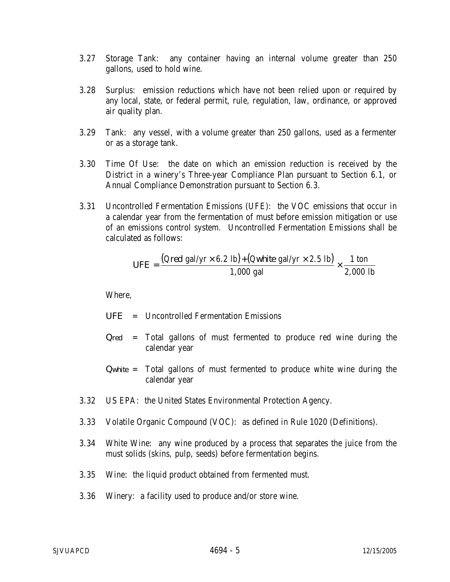- 3.27 Storage Tank: any container having an internal volume greater than 250 gallons, used to hold wine.
- 3.28 Surplus: emission reductions which have not been relied upon or required by any local, state, or federal permit, rule, regulation, law, ordinance, or approved air quality plan.
- 3.29 Tank: any vessel, with a volume greater than 250 gallons, used as a fermenter or as a storage tank.
- 3.30 Time Of Use: the date on which an emission reduction is received by the District in a winery's Three-year Compliance Plan pursuant to Section 6.1, or Annual Compliance Demonstration pursuant to Section 6.3.
- 3.31 Uncontrolled Fermentation Emissions (UFE): the VOC emissions that occur in a calendar year from the fermentation of must before emission mitigation or use of an emissions control system. Uncontrolled Fermentation Emissions shall be calculated as follows:

$$
UFE = \frac{(Qred \text{ gal/yr} \times 6.2 \text{ lb}) + (Qwhite \text{ gal/yr} \times 2.5 \text{ lb})}{1,000 \text{ gal}} \times \frac{1 \text{ ton}}{2,000 \text{ lb}}
$$

- *UFE* = Uncontrolled Fermentation Emissions
- *Qred* = Total gallons of must fermented to produce red wine during the calendar year
- *Qwhite* = Total gallons of must fermented to produce white wine during the calendar year
- 3.32 US EPA: the United States Environmental Protection Agency.
- 3.33 Volatile Organic Compound (VOC): as defined in Rule 1020 (Definitions).
- 3.34 White Wine: any wine produced by a process that separates the juice from the must solids (skins, pulp, seeds) before fermentation begins.
- 3.35 Wine: the liquid product obtained from fermented must.
- 3.36 Winery: a facility used to produce and/or store wine.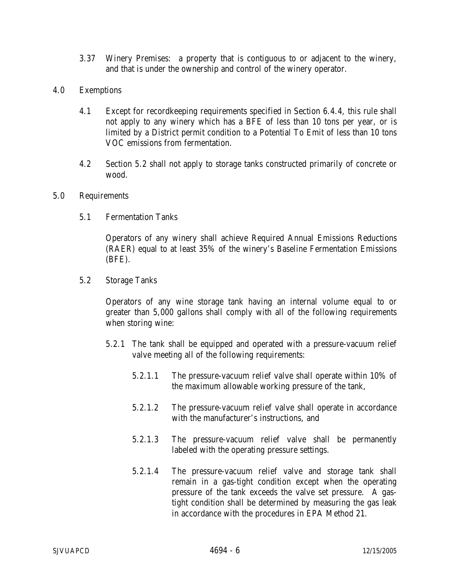- 3.37 Winery Premises: a property that is contiguous to or adjacent to the winery, and that is under the ownership and control of the winery operator.
- 4.0 Exemptions
	- 4.1 Except for recordkeeping requirements specified in Section 6.4.4, this rule shall not apply to any winery which has a BFE of less than 10 tons per year, or is limited by a District permit condition to a Potential To Emit of less than 10 tons VOC emissions from fermentation.
	- 4.2 Section 5.2 shall not apply to storage tanks constructed primarily of concrete or wood.

### 5.0 Requirements

5.1 Fermentation Tanks

Operators of any winery shall achieve Required Annual Emissions Reductions (RAER) equal to at least 35% of the winery's Baseline Fermentation Emissions (BFE).

5.2 Storage Tanks

Operators of any wine storage tank having an internal volume equal to or greater than 5,000 gallons shall comply with all of the following requirements when storing wine:

- 5.2.1 The tank shall be equipped and operated with a pressure-vacuum relief valve meeting all of the following requirements:
	- 5.2.1.1 The pressure-vacuum relief valve shall operate within 10% of the maximum allowable working pressure of the tank,
	- 5.2.1.2 The pressure-vacuum relief valve shall operate in accordance with the manufacturer's instructions, and
	- 5.2.1.3 The pressure-vacuum relief valve shall be permanently labeled with the operating pressure settings.
	- 5.2.1.4 The pressure-vacuum relief valve and storage tank shall remain in a gas-tight condition except when the operating pressure of the tank exceeds the valve set pressure. A gastight condition shall be determined by measuring the gas leak in accordance with the procedures in EPA Method 21.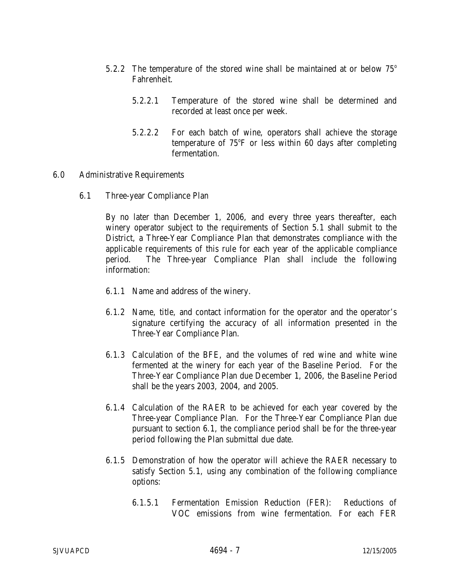- 5.2.2 The temperature of the stored wine shall be maintained at or below  $75^{\circ}$ Fahrenheit.
	- 5.2.2.1 Temperature of the stored wine shall be determined and recorded at least once per week.
	- 5.2.2.2 For each batch of wine, operators shall achieve the storage temperature of 75°F or less within 60 days after completing fermentation.

#### 6.0 Administrative Requirements

6.1 Three-year Compliance Plan

By no later than December 1, 2006, and every three years thereafter, each winery operator subject to the requirements of Section 5.1 shall submit to the District, a Three-Year Compliance Plan that demonstrates compliance with the applicable requirements of this rule for each year of the applicable compliance period. The Three-year Compliance Plan shall include the following information:

- 6.1.1 Name and address of the winery.
- 6.1.2 Name, title, and contact information for the operator and the operator's signature certifying the accuracy of all information presented in the Three-Year Compliance Plan.
- 6.1.3 Calculation of the BFE, and the volumes of red wine and white wine fermented at the winery for each year of the Baseline Period. For the Three-Year Compliance Plan due December 1, 2006, the Baseline Period shall be the years 2003, 2004, and 2005.
- 6.1.4 Calculation of the RAER to be achieved for each year covered by the Three-year Compliance Plan. For the Three-Year Compliance Plan due pursuant to section 6.1, the compliance period shall be for the three-year period following the Plan submittal due date.
- 6.1.5 Demonstration of how the operator will achieve the RAER necessary to satisfy Section 5.1, using any combination of the following compliance options:
	- 6.1.5.1 Fermentation Emission Reduction (FER): Reductions of VOC emissions from wine fermentation. For each FER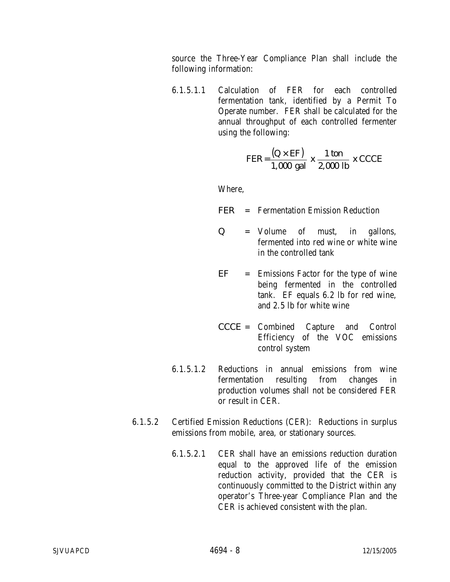source the Three-Year Compliance Plan shall include the following information:

6.1.5.1.1 Calculation of FER for each controlled fermentation tank, identified by a Permit To Operate number. FER shall be calculated for the annual throughput of each controlled fermenter using the following:

$$
FER = \frac{(Q \times EF)}{1,000 \text{ gal}} \times \frac{1 \text{ ton}}{2,000 \text{ lb}} \times CCCE
$$

- *FER* = Fermentation Emission Reduction
- *Q* = Volume of must, in gallons, fermented into red wine or white wine in the controlled tank
- *EF* = Emissions Factor for the type of wine being fermented in the controlled tank. EF equals 6.2 lb for red wine, and 2.5 lb for white wine
- *CCCE* = Combined Capture and Control Efficiency of the VOC emissions control system
- 6.1.5.1.2 Reductions in annual emissions from wine fermentation resulting from changes in production volumes shall not be considered FER or result in CER.
- 6.1.5.2 Certified Emission Reductions (CER): Reductions in surplus emissions from mobile, area, or stationary sources.
	- 6.1.5.2.1 CER shall have an emissions reduction duration equal to the approved life of the emission reduction activity, provided that the CER is continuously committed to the District within any operator's Three-year Compliance Plan and the CER is achieved consistent with the plan.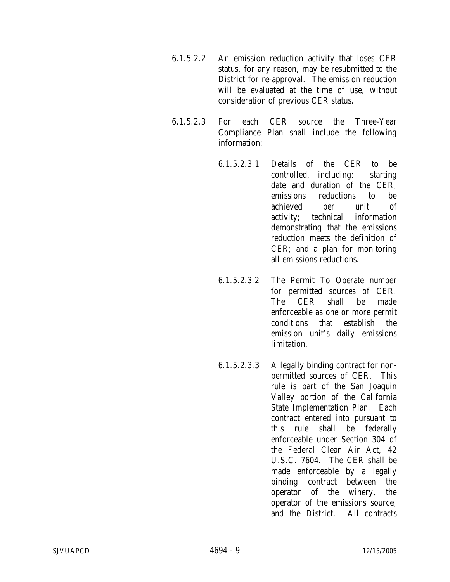- 6.1.5.2.2 An emission reduction activity that loses CER status, for any reason, may be resubmitted to the District for re-approval. The emission reduction will be evaluated at the time of use, without consideration of previous CER status.
- 6.1.5.2.3 For each CER source the Three-Year Compliance Plan shall include the following information:
	- 6.1.5.2.3.1 Details of the CER to be controlled, including: starting date and duration of the CER; emissions reductions to be achieved per unit of activity; technical information demonstrating that the emissions reduction meets the definition of CER; and a plan for monitoring all emissions reductions.
	- 6.1.5.2.3.2 The Permit To Operate number for permitted sources of CER. The CER shall be made enforceable as one or more permit conditions that establish the emission unit's daily emissions limitation.
	- 6.1.5.2.3.3 A legally binding contract for nonpermitted sources of CER. This rule is part of the San Joaquin Valley portion of the California State Implementation Plan. Each contract entered into pursuant to this rule shall be federally enforceable under Section 304 of the Federal Clean Air Act, 42 U.S.C. 7604. The CER shall be made enforceable by a legally binding contract between the operator of the winery, the operator of the emissions source, and the District. All contracts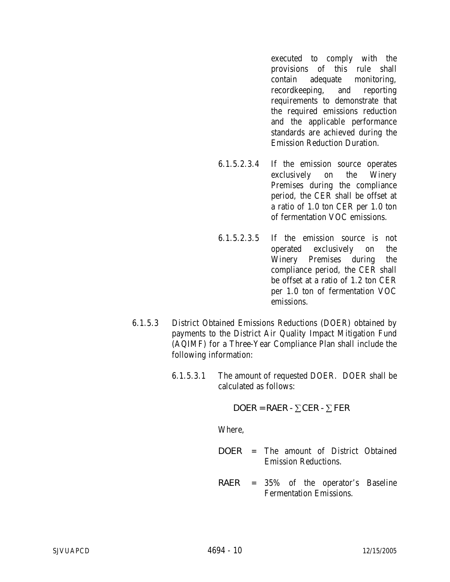executed to comply with the provisions of this rule shall contain adequate monitoring, recordkeeping, and reporting requirements to demonstrate that the required emissions reduction and the applicable performance standards are achieved during the Emission Reduction Duration.

- 6.1.5.2.3.4 If the emission source operates exclusively on the Winery Premises during the compliance period, the CER shall be offset at a ratio of 1.0 ton CER per 1.0 ton of fermentation VOC emissions.
- 6.1.5.2.3.5 If the emission source is not operated exclusively on the Winery Premises during the compliance period, the CER shall be offset at a ratio of 1.2 ton CER per 1.0 ton of fermentation VOC emissions.
- 6.1.5.3 District Obtained Emissions Reductions (DOER) obtained by payments to the District Air Quality Impact Mitigation Fund (AQIMF) for a Three-Year Compliance Plan shall include the following information:
	- 6.1.5.3.1 The amount of requested DOER. DOER shall be calculated as follows:

$$
DOER = RAER - \sum CER - \sum FER
$$

- *DOER* = The amount of District Obtained Emission Reductions.
- *RAER* = 35% of the operator's Baseline Fermentation Emissions.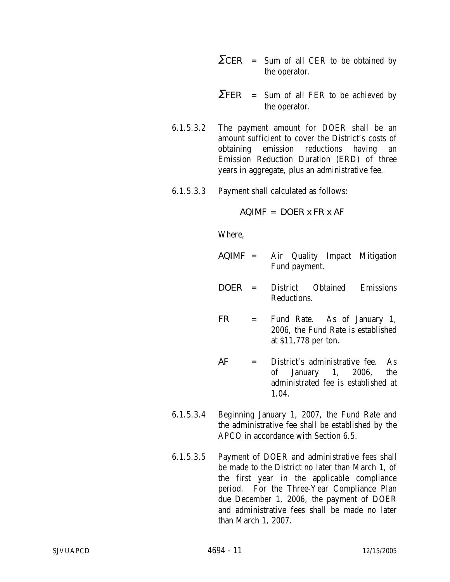- *ΣCER* = Sum of all CER to be obtained by the operator.
- *ΣFER* = Sum of all FER to be achieved by the operator.
- 6.1.5.3.2 The payment amount for DOER shall be an amount sufficient to cover the District's costs of obtaining emission reductions having an Emission Reduction Duration (ERD) of three years in aggregate, plus an administrative fee.
- 6.1.5.3.3 Payment shall calculated as follows:

*AQIMF* = *DOER x FR x AF*

- *AQIMF* = Air Quality Impact Mitigation Fund payment.
- *DOER* = District Obtained Emissions Reductions.
- *FR* = Fund Rate. As of January 1, 2006, the Fund Rate is established at \$11,778 per ton.
- *AF* = District's administrative fee. As of January 1, 2006, the administrated fee is established at 1.04.
- 6.1.5.3.4 Beginning January 1, 2007, the Fund Rate and the administrative fee shall be established by the APCO in accordance with Section 6.5.
- 6.1.5.3.5 Payment of DOER and administrative fees shall be made to the District no later than March 1, of the first year in the applicable compliance period. For the Three-Year Compliance Plan due December 1, 2006, the payment of DOER and administrative fees shall be made no later than March 1, 2007.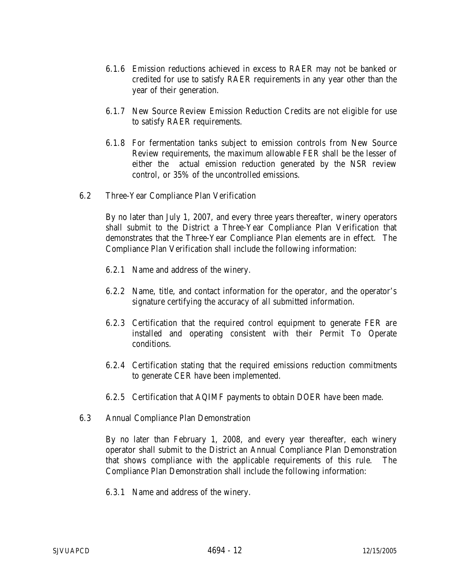- 6.1.6 Emission reductions achieved in excess to RAER may not be banked or credited for use to satisfy RAER requirements in any year other than the year of their generation.
- 6.1.7 New Source Review Emission Reduction Credits are not eligible for use to satisfy RAER requirements.
- 6.1.8 For fermentation tanks subject to emission controls from New Source Review requirements, the maximum allowable FER shall be the lesser of either the actual emission reduction generated by the NSR review control, or 35% of the uncontrolled emissions.
- 6.2 Three-Year Compliance Plan Verification

By no later than July 1, 2007, and every three years thereafter, winery operators shall submit to the District a Three-Year Compliance Plan Verification that demonstrates that the Three-Year Compliance Plan elements are in effect. The Compliance Plan Verification shall include the following information:

- 6.2.1 Name and address of the winery.
- 6.2.2 Name, title, and contact information for the operator, and the operator's signature certifying the accuracy of all submitted information.
- 6.2.3 Certification that the required control equipment to generate FER are installed and operating consistent with their Permit To Operate conditions.
- 6.2.4 Certification stating that the required emissions reduction commitments to generate CER have been implemented.
- 6.2.5 Certification that AQIMF payments to obtain DOER have been made.
- 6.3 Annual Compliance Plan Demonstration

By no later than February 1, 2008, and every year thereafter, each winery operator shall submit to the District an Annual Compliance Plan Demonstration that shows compliance with the applicable requirements of this rule. The Compliance Plan Demonstration shall include the following information:

6.3.1 Name and address of the winery.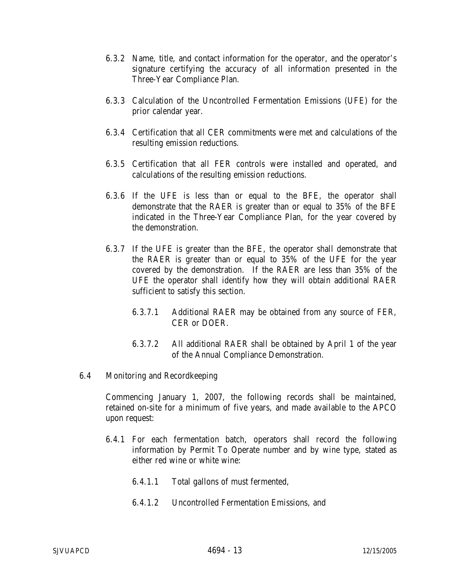- 6.3.2 Name, title, and contact information for the operator, and the operator's signature certifying the accuracy of all information presented in the Three-Year Compliance Plan.
- 6.3.3 Calculation of the Uncontrolled Fermentation Emissions (UFE) for the prior calendar year.
- 6.3.4 Certification that all CER commitments were met and calculations of the resulting emission reductions.
- 6.3.5 Certification that all FER controls were installed and operated, and calculations of the resulting emission reductions.
- 6.3.6 If the UFE is less than or equal to the BFE, the operator shall demonstrate that the RAER is greater than or equal to 35% of the BFE indicated in the Three-Year Compliance Plan, for the year covered by the demonstration.
- 6.3.7 If the UFE is greater than the BFE, the operator shall demonstrate that the RAER is greater than or equal to 35% of the UFE for the year covered by the demonstration. If the RAER are less than 35% of the UFE the operator shall identify how they will obtain additional RAER sufficient to satisfy this section.
	- 6.3.7.1 Additional RAER may be obtained from any source of FER, CER or DOER.
	- 6.3.7.2 All additional RAER shall be obtained by April 1 of the year of the Annual Compliance Demonstration.
- 6.4 Monitoring and Recordkeeping

Commencing January 1, 2007, the following records shall be maintained, retained on-site for a minimum of five years, and made available to the APCO upon request:

- 6.4.1 For each fermentation batch, operators shall record the following information by Permit To Operate number and by wine type, stated as either red wine or white wine:
	- 6.4.1.1 Total gallons of must fermented,
	- 6.4.1.2 Uncontrolled Fermentation Emissions, and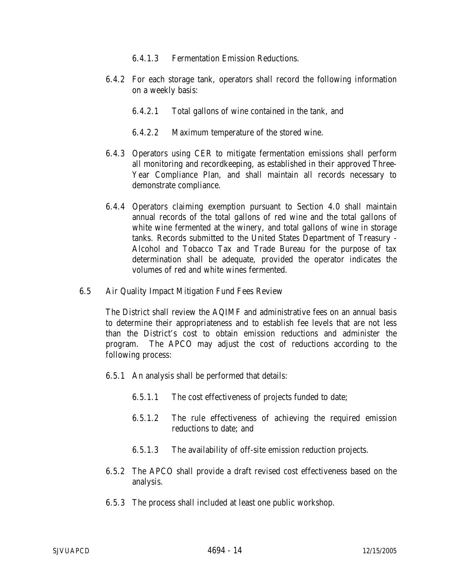- 6.4.1.3 Fermentation Emission Reductions.
- 6.4.2 For each storage tank, operators shall record the following information on a weekly basis:
	- 6.4.2.1 Total gallons of wine contained in the tank, and
	- 6.4.2.2 Maximum temperature of the stored wine.
- 6.4.3 Operators using CER to mitigate fermentation emissions shall perform all monitoring and recordkeeping, as established in their approved Three-Year Compliance Plan, and shall maintain all records necessary to demonstrate compliance.
- 6.4.4 Operators claiming exemption pursuant to Section 4.0 shall maintain annual records of the total gallons of red wine and the total gallons of white wine fermented at the winery, and total gallons of wine in storage tanks. Records submitted to the United States Department of Treasury - Alcohol and Tobacco Tax and Trade Bureau for the purpose of tax determination shall be adequate, provided the operator indicates the volumes of red and white wines fermented.
- 6.5 Air Quality Impact Mitigation Fund Fees Review

The District shall review the AQIMF and administrative fees on an annual basis to determine their appropriateness and to establish fee levels that are not less than the District's cost to obtain emission reductions and administer the program. The APCO may adjust the cost of reductions according to the following process:

- 6.5.1 An analysis shall be performed that details:
	- 6.5.1.1 The cost effectiveness of projects funded to date;
	- 6.5.1.2 The rule effectiveness of achieving the required emission reductions to date; and
	- 6.5.1.3 The availability of off-site emission reduction projects.
- 6.5.2 The APCO shall provide a draft revised cost effectiveness based on the analysis.
- 6.5.3 The process shall included at least one public workshop.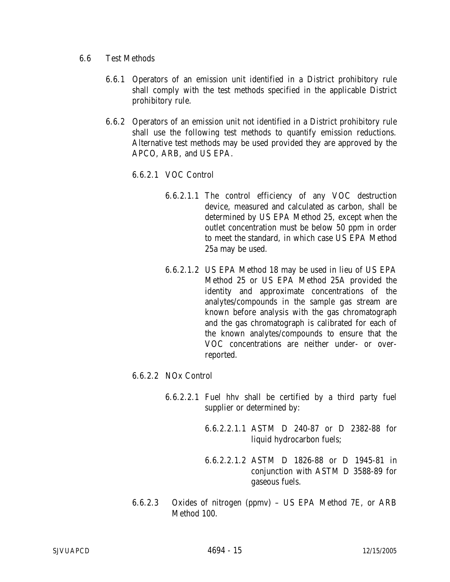- 6.6 Test Methods
	- 6.6.1 Operators of an emission unit identified in a District prohibitory rule shall comply with the test methods specified in the applicable District prohibitory rule.
	- 6.6.2 Operators of an emission unit not identified in a District prohibitory rule shall use the following test methods to quantify emission reductions. Alternative test methods may be used provided they are approved by the APCO, ARB, and US EPA.
		- 6.6.2.1 VOC Control
			- 6.6.2.1.1 The control efficiency of any VOC destruction device, measured and calculated as carbon, shall be determined by US EPA Method 25, except when the outlet concentration must be below 50 ppm in order to meet the standard, in which case US EPA Method 25a may be used.
			- 6.6.2.1.2 US EPA Method 18 may be used in lieu of US EPA Method 25 or US EPA Method 25A provided the identity and approximate concentrations of the analytes/compounds in the sample gas stream are known before analysis with the gas chromatograph and the gas chromatograph is calibrated for each of the known analytes/compounds to ensure that the VOC concentrations are neither under- or overreported.
		- 6.6.2.2 NOx Control
			- 6.6.2.2.1 Fuel hhv shall be certified by a third party fuel supplier or determined by:
				- 6.6.2.2.1.1 ASTM D 240-87 or D 2382-88 for liquid hydrocarbon fuels;
				- 6.6.2.2.1.2 ASTM D 1826-88 or D 1945-81 in conjunction with ASTM D 3588-89 for gaseous fuels.
		- 6.6.2.3 Oxides of nitrogen (ppmv) US EPA Method 7E, or ARB Method 100.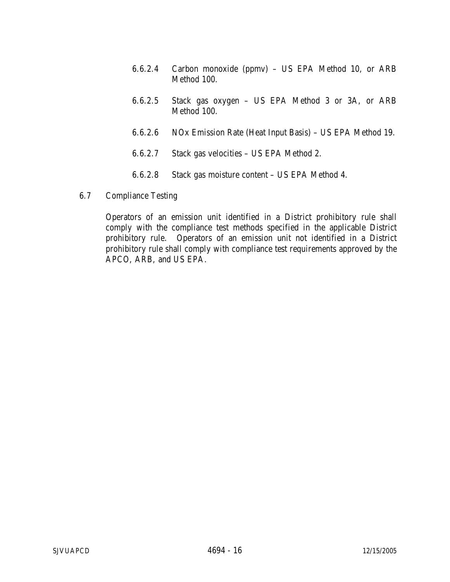- 6.6.2.4 Carbon monoxide (ppmv) US EPA Method 10, or ARB Method 100.
- 6.6.2.5 Stack gas oxygen US EPA Method 3 or 3A, or ARB Method 100.
- 6.6.2.6 NOx Emission Rate (Heat Input Basis) US EPA Method 19.
- 6.6.2.7 Stack gas velocities US EPA Method 2.
- 6.6.2.8 Stack gas moisture content US EPA Method 4.
- 6.7 Compliance Testing

Operators of an emission unit identified in a District prohibitory rule shall comply with the compliance test methods specified in the applicable District prohibitory rule. Operators of an emission unit not identified in a District prohibitory rule shall comply with compliance test requirements approved by the APCO, ARB, and US EPA.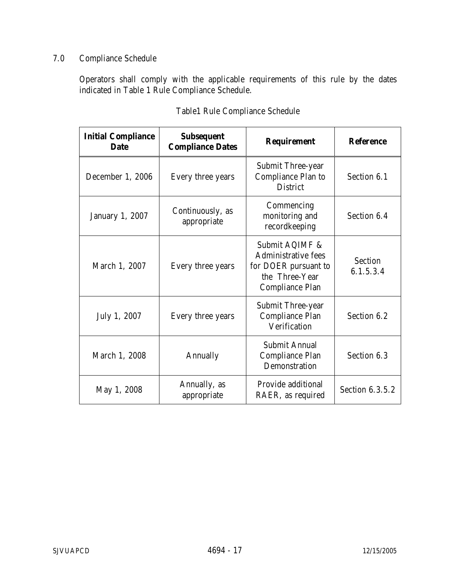# 7.0 Compliance Schedule

Operators shall comply with the applicable requirements of this rule by the dates indicated in Table 1 Rule Compliance Schedule.

| <b>Initial Compliance</b><br><b>Date</b> | <b>Subsequent</b><br><b>Compliance Dates</b> | <b>Requirement</b>                                                                                               | <b>Reference</b>            |
|------------------------------------------|----------------------------------------------|------------------------------------------------------------------------------------------------------------------|-----------------------------|
| December 1, 2006                         | Every three years                            | <b>Submit Three-year</b><br><b>Compliance Plan to</b><br><b>District</b>                                         | Section 6.1                 |
| <b>January 1, 2007</b>                   | Continuously, as<br>appropriate              | Commencing<br>monitoring and<br>recordkeeping                                                                    | Section 6.4                 |
| March 1, 2007                            | Every three years                            | Submit AQIMF &<br><b>Administrative fees</b><br>for DOER pursuant to<br>the Three-Year<br><b>Compliance Plan</b> | <b>Section</b><br>6.1.5.3.4 |
| July 1, 2007                             | Every three years                            | <b>Submit Three-year</b><br><b>Compliance Plan</b><br>Verification                                               | Section 6.2                 |
| March 1, 2008                            | Annually                                     | Submit Annual<br><b>Compliance Plan</b><br>Demonstration                                                         | Section 6.3                 |
| May 1, 2008                              | Annually, as<br>appropriate                  | Provide additional<br>RAER, as required                                                                          | Section 6.3.5.2             |

# Table1 Rule Compliance Schedule